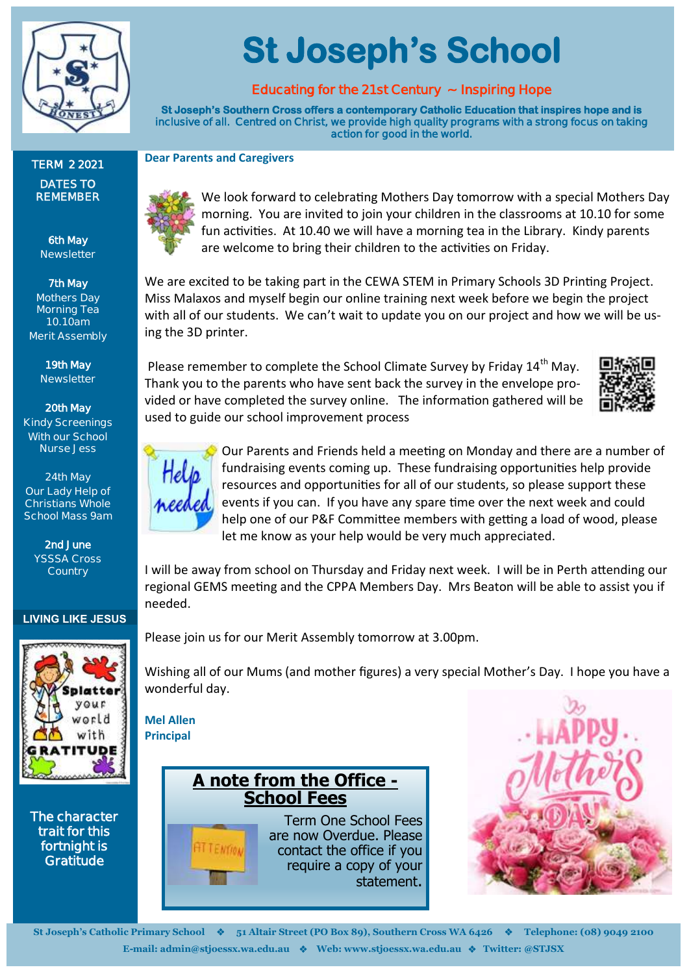

**TERM 2 2021 DATES TO REMEMBER**

> **6th May Newsletter**

**7th May Mothers Day Morning Tea 10.10am Merit Assembly**

> **19th May Newsletter**

**20th May Kindy Screenings**

# **St Joseph's School**

# **Educating for the 21st Century ~ Inspiring Hope**

**St Joseph's Southern Cross offers a contemporary Catholic Education that inspires hope and is inclusive of all. Centred on Christ, we provide high quality programs with a strong focus on taking action for good in the world.** 

**Dear Parents and Caregivers**



We look forward to celebrating Mothers Day tomorrow with a special Mothers Day morning. You are invited to join your children in the classrooms at 10.10 for some fun activities. At 10.40 we will have a morning tea in the Library. Kindy parents are welcome to bring their children to the activities on Friday.

We are excited to be taking part in the CEWA STEM in Primary Schools 3D Printing Project. Miss Malaxos and myself begin our online training next week before we begin the project with all of our students. We can't wait to update you on our project and how we will be using the 3D printer.

Please remember to complete the School Climate Survey by Friday 14<sup>th</sup> May. Thank you to the parents who have sent back the survey in the envelope provided or have completed the survey online. The information gathered will be used to guide our school improvement process





Our Parents and Friends held a meeting on Monday and there are a number of fundraising events coming up. These fundraising opportunities help provide resources and opportunities for all of our students, so please support these events if you can. If you have any spare time over the next week and could help one of our P&F Committee members with getting a load of wood, please let me know as your help would be very much appreciated.

I will be away from school on Thursday and Friday next week. I will be in Perth attending our regional GEMS meeting and the CPPA Members Day. Mrs Beaton will be able to assist you if needed.

Please join us for our Merit Assembly tomorrow at 3.00pm.

Wishing all of our Mums (and mother figures) a very special Mother's Day. I hope you have a wonderful day.

**Mel Allen Principal**



require a copy of your statement.





**St Joseph's Catholic Primary School** ❖ **51 Altair Street (PO Box 89), Southern Cross WA 6426** ❖ **Telephone: (08) 9049 2100 E-mail: admin@stjoessx.wa.edu.au** ❖ **Web: www.stjoessx.wa.edu.au** ❖ **Twitter: @STJSX** 

**With our School Nurse Jess 24th May Our Lady Help of Christians Whole** 

> **2nd June YSSSA Cross Country**

**School Mass 9am**

**LIVING LIKE JESUS**



**Gratitude**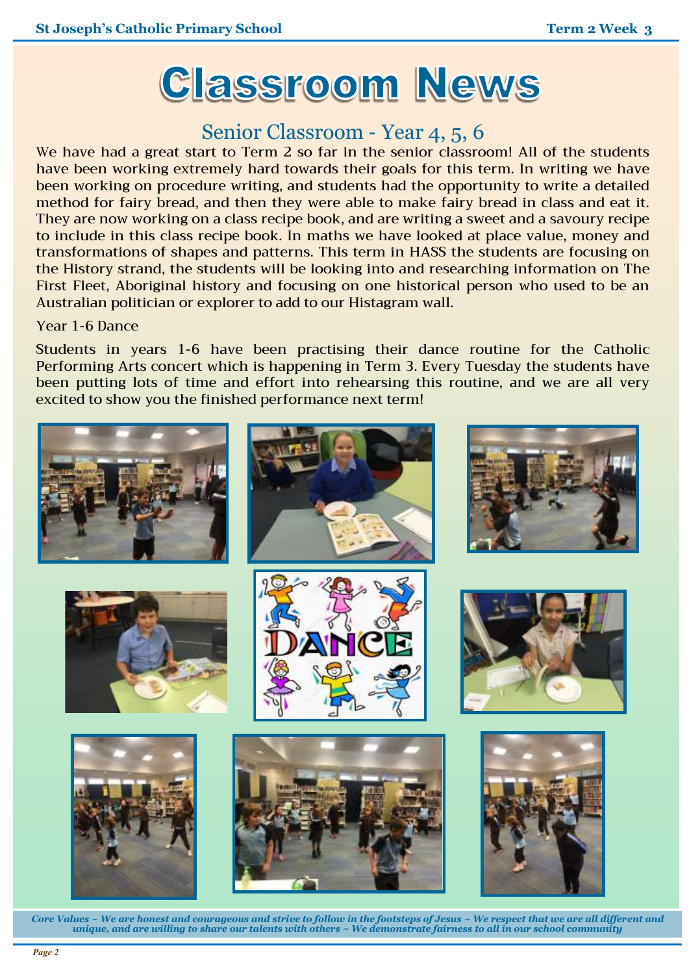

# Senior Classroom - Year 4, 5, 6

We have had a great start to Term 2 so far in the senior classroom! All of the students have been working extremely hard towards their goals for this term. In writing we have been working on procedure writing, and students had the opportunity to write a detailed method for fairy bread, and then they were able to make fairy bread in class and eat it. They are now working on a class recipe book, and are writing a sweet and a savoury recipe to include in this class recipe book. In maths we have looked at place value, money and transformations of shapes and patterns. This term in HASS the students are focusing on the History strand, the students will be looking into and researching information on The First Fleet, Aboriginal history and focusing on one historical person who used to be an Australian politician or explorer to add to our Histagram wall.

#### Year 1-6 Dance

Students in years 1-6 have been practising their dance routine for the Catholic Performing Arts concert which is happening in Term 3. Every Tuesday the students have been putting lots of time and effort into rehearsing this routine, and we are all very excited to show you the finished performance next term!



*Core Values ~ We are honest and courageous and strive to follow in the footsteps of Jesus ~ We respect that we are all different and unique, and are willing to share our talents with others ~ We demonstrate fairness to all in our school community*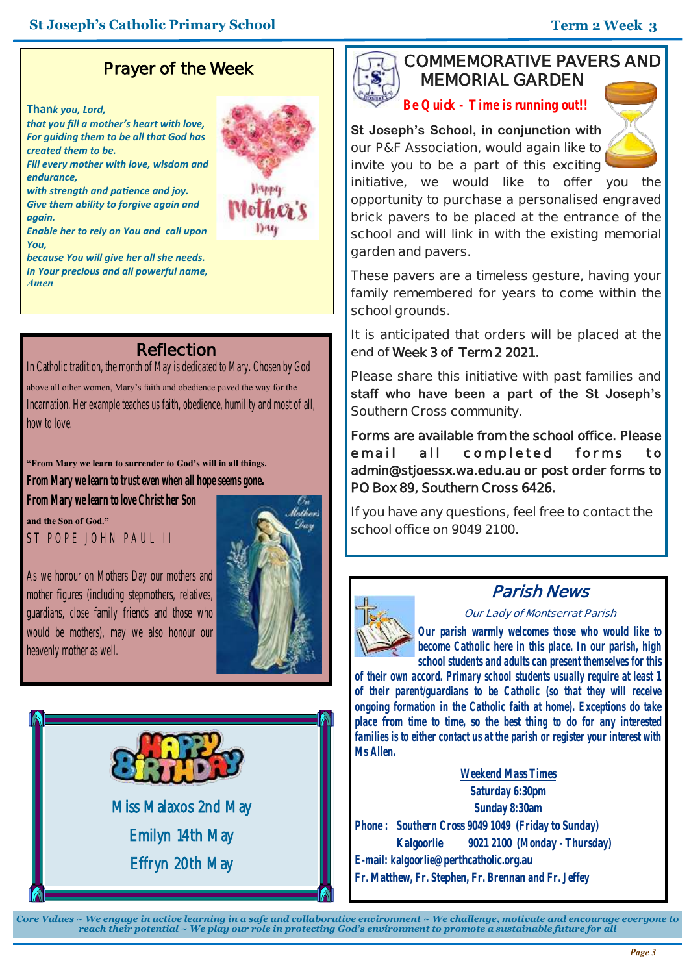# **Prayer of the Week**

#### **Than***k you, Lord,*

*that you fill a mother's heart with love, For guiding them to be all that God has created them to be.*

*Fill every mother with love, wisdom and endurance,*

*with strength and patience and joy. Give them ability to forgive again and again.*

*Enable her to rely on You and call upon You,* 

*because You will give her all she needs. In Your precious and all powerful name, Amen*



# **Reflection**

In Catholic tradition, the month of May is dedicated to Mary. Chosen by God above all other women, Mary's faith and obedience paved the way for the Incarnation. Her example teaches us faith, obedience, humility and most of all, how to love.

#### **"From Mary we learn to surrender to God's will in all things.**

**From Mary we learn to trust even when all hope seems gone.**

**From Mary we learn to love Christ her Son and the Son of God."**

ST POPE JOHN PAUL II

As we honour on Mothers Day our mothers and mother figures (including stepmothers, relatives, guardians, close family friends and those who would be mothers), may we also honour our heavenly mother as well.





Miss Malaxos 2nd May Emilyn 14th May Effryn 20th May

## **COMMEMORATIVE PAVERS AND MEMORIAL GARDEN**

*Be Quick - Time is running out!!*

**St Joseph's School, in conjunction with our P&F Association, would again like to invite you to be a part of this exciting** 



**initiative, we would like to offer you the opportunity to purchase a personalised engraved brick pavers to be placed at the entrance of the school and will link in with the existing memorial garden and pavers.**

**These pavers are a timeless gesture, having your family remembered for years to come within the school grounds.**

**It is anticipated that orders will be placed at the end of Week 3 of Term 2 2021.** 

**Please share this initiative with past families and staff who have been a part of the St Joseph's Southern Cross community.** 

**Forms are available from the school office. Please**  e mail all completed forms to **admin@stjoessx.wa.edu.au or post order forms to PO Box 89, Southern Cross 6426.** 

**If you have any questions, feel free to contact the school office on 9049 2100.**



## **Parish News**

#### **Our Lady of Montserrat Parish**

*Our parish warmly welcomes those who would like to become Catholic here in this place. In our parish, high school students and adults can present themselves for this* 

*of their own accord. Primary school students usually require at least 1 of their parent/guardians to be Catholic (so that they will receive ongoing formation in the Catholic faith at home). Exceptions do take place from time to time, so the best thing to do for any interested families is to either contact us at the parish or register your interest with Ms Allen.*

**Weekend Mass Times Saturday 6:30pm Sunday 8:30am Phone : Southern Cross 9049 1049 (Friday to Sunday) Kalgoorlie 9021 2100 (Monday - Thursday) E-mail: kalgoorlie@perthcatholic.org.au Fr. Matthew, Fr. Stephen, Fr. Brennan and Fr. Jeffey**

*Core Values ~ We engage in active learning in a safe and collaborative environment ~ We challenge, motivate and encourage everyone to reach their potential ~ We play our role in protecting God's environment to promote a sustainable future for all*